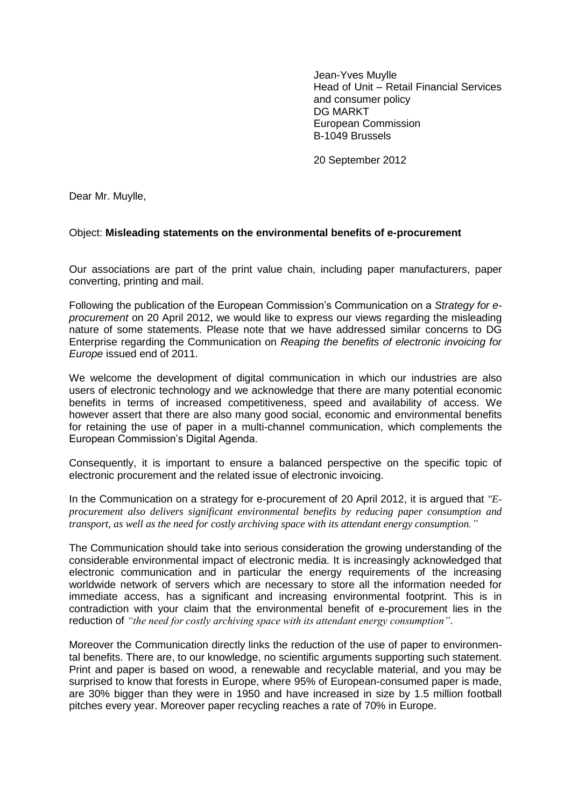Jean-Yves Muylle Head of Unit – Retail Financial Services and consumer policy DG MARKT European Commission B-1049 Brussels

20 September 2012

Dear Mr. Muylle,

## Object: **Misleading statements on the environmental benefits of e-procurement**

Our associations are part of the print value chain, including paper manufacturers, paper converting, printing and mail.

Following the publication of the European Commission's Communication on a *Strategy for eprocurement* on 20 April 2012, we would like to express our views regarding the misleading nature of some statements. Please note that we have addressed similar concerns to DG Enterprise regarding the Communication on *Reaping the benefits of electronic invoicing for Europe* issued end of 2011.

We welcome the development of digital communication in which our industries are also users of electronic technology and we acknowledge that there are many potential economic benefits in terms of increased competitiveness, speed and availability of access. We however assert that there are also many good social, economic and environmental benefits for retaining the use of paper in a multi-channel communication, which complements the European Commission's Digital Agenda.

Consequently, it is important to ensure a balanced perspective on the specific topic of electronic procurement and the related issue of electronic invoicing.

In the Communication on a strategy for e-procurement of 20 April 2012, it is argued that *"Eprocurement also delivers significant environmental benefits by reducing paper consumption and transport, as well as the need for costly archiving space with its attendant energy consumption."*

The Communication should take into serious consideration the growing understanding of the considerable environmental impact of electronic media. It is increasingly acknowledged that electronic communication and in particular the energy requirements of the increasing worldwide network of servers which are necessary to store all the information needed for immediate access, has a significant and increasing environmental footprint. This is in contradiction with your claim that the environmental benefit of e-procurement lies in the reduction of *"the need for costly archiving space with its attendant energy consumption"*.

Moreover the Communication directly links the reduction of the use of paper to environmental benefits. There are, to our knowledge, no scientific arguments supporting such statement. Print and paper is based on wood, a renewable and recyclable material, and you may be surprised to know that forests in Europe, where 95% of European-consumed paper is made, are 30% bigger than they were in 1950 and have increased in size by 1.5 million football pitches every year. Moreover paper recycling reaches a rate of 70% in Europe.